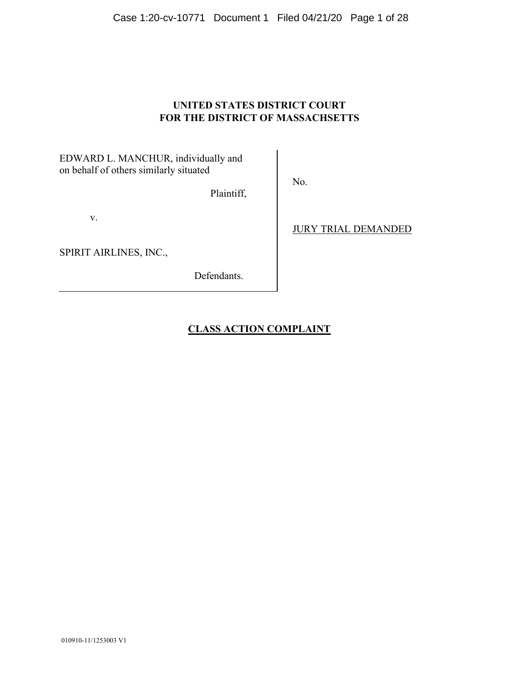Case 1:20-cv-10771 Document 1 Filed 04/21/20 Page 1 of 28

# **UNITED STATES DISTRICT COURT FOR THE DISTRICT OF MASSACHSETTS**

EDWARD L. MANCHUR, individually and on behalf of others similarly situated

Plaintiff,

v.

SPIRIT AIRLINES, INC.,

Defendants.

JURY TRIAL DEMANDED

# **CLASS ACTION COMPLAINT**

No.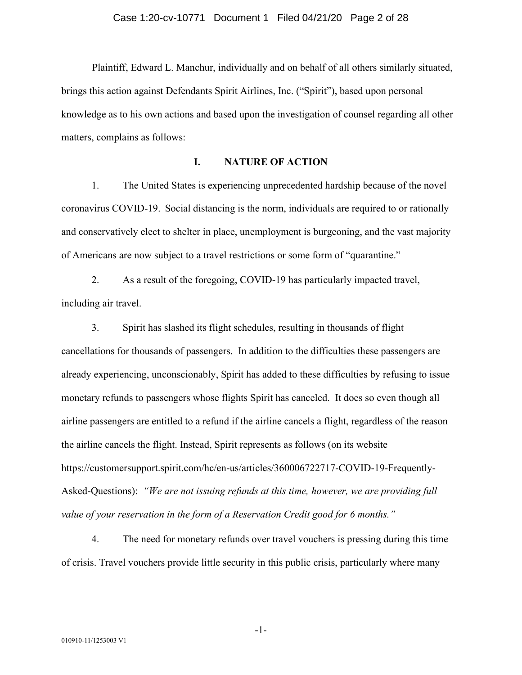Plaintiff, Edward L. Manchur, individually and on behalf of all others similarly situated, brings this action against Defendants Spirit Airlines, Inc. ("Spirit"), based upon personal knowledge as to his own actions and based upon the investigation of counsel regarding all other matters, complains as follows:

# **I. NATURE OF ACTION**

1. The United States is experiencing unprecedented hardship because of the novel coronavirus COVID-19. Social distancing is the norm, individuals are required to or rationally and conservatively elect to shelter in place, unemployment is burgeoning, and the vast majority of Americans are now subject to a travel restrictions or some form of "quarantine."

2. As a result of the foregoing, COVID-19 has particularly impacted travel, including air travel.

3. Spirit has slashed its flight schedules, resulting in thousands of flight cancellations for thousands of passengers. In addition to the difficulties these passengers are already experiencing, unconscionably, Spirit has added to these difficulties by refusing to issue monetary refunds to passengers whose flights Spirit has canceled. It does so even though all airline passengers are entitled to a refund if the airline cancels a flight, regardless of the reason the airline cancels the flight. Instead, Spirit represents as follows (on its website https://customersupport.spirit.com/hc/en-us/articles/360006722717-COVID-19-Frequently-Asked-Questions): *"We are not issuing refunds at this time, however, we are providing full value of your reservation in the form of a Reservation Credit good for 6 months."*

4. The need for monetary refunds over travel vouchers is pressing during this time of crisis. Travel vouchers provide little security in this public crisis, particularly where many

-1-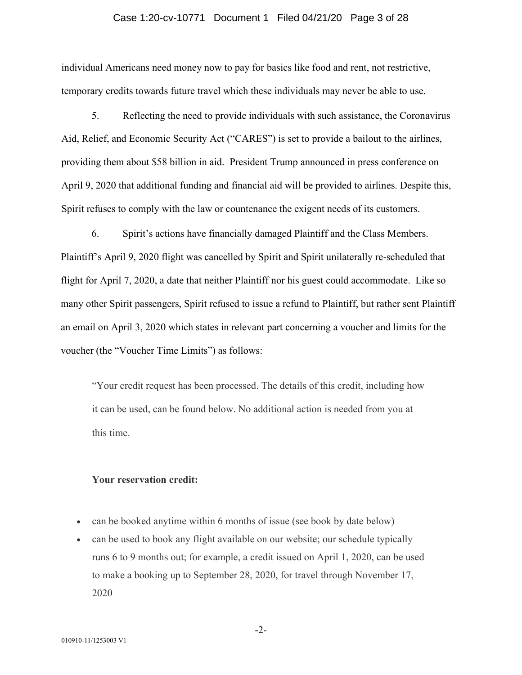#### Case 1:20-cv-10771 Document 1 Filed 04/21/20 Page 3 of 28

individual Americans need money now to pay for basics like food and rent, not restrictive, temporary credits towards future travel which these individuals may never be able to use.

5. Reflecting the need to provide individuals with such assistance, the Coronavirus Aid, Relief, and Economic Security Act ("CARES") is set to provide a bailout to the airlines, providing them about \$58 billion in aid. President Trump announced in press conference on April 9, 2020 that additional funding and financial aid will be provided to airlines. Despite this, Spirit refuses to comply with the law or countenance the exigent needs of its customers.

6. Spirit's actions have financially damaged Plaintiff and the Class Members. Plaintiff's April 9, 2020 flight was cancelled by Spirit and Spirit unilaterally re-scheduled that flight for April 7, 2020, a date that neither Plaintiff nor his guest could accommodate. Like so many other Spirit passengers, Spirit refused to issue a refund to Plaintiff, but rather sent Plaintiff an email on April 3, 2020 which states in relevant part concerning a voucher and limits for the voucher (the "Voucher Time Limits") as follows:

"Your credit request has been processed. The details of this credit, including how it can be used, can be found below. No additional action is needed from you at this time.

# **Your reservation credit:**

- can be booked anytime within 6 months of issue (see book by date below)
- can be used to book any flight available on our website; our schedule typically runs 6 to 9 months out; for example, a credit issued on April 1, 2020, can be used to make a booking up to September 28, 2020, for travel through November 17, 2020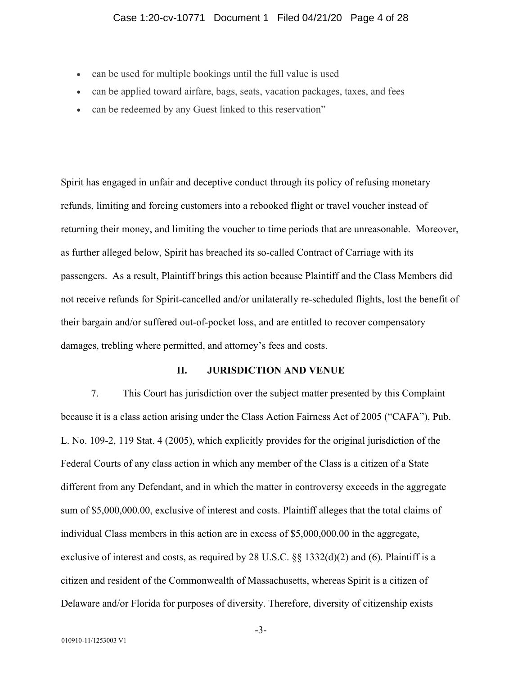- can be used for multiple bookings until the full value is used
- can be applied toward airfare, bags, seats, vacation packages, taxes, and fees
- can be redeemed by any Guest linked to this reservation"

Spirit has engaged in unfair and deceptive conduct through its policy of refusing monetary refunds, limiting and forcing customers into a rebooked flight or travel voucher instead of returning their money, and limiting the voucher to time periods that are unreasonable. Moreover, as further alleged below, Spirit has breached its so-called Contract of Carriage with its passengers. As a result, Plaintiff brings this action because Plaintiff and the Class Members did not receive refunds for Spirit-cancelled and/or unilaterally re-scheduled flights, lost the benefit of their bargain and/or suffered out-of-pocket loss, and are entitled to recover compensatory damages, trebling where permitted, and attorney's fees and costs.

# **II. JURISDICTION AND VENUE**

7. This Court has jurisdiction over the subject matter presented by this Complaint because it is a class action arising under the Class Action Fairness Act of 2005 ("CAFA"), Pub. L. No. 109-2, 119 Stat. 4 (2005), which explicitly provides for the original jurisdiction of the Federal Courts of any class action in which any member of the Class is a citizen of a State different from any Defendant, and in which the matter in controversy exceeds in the aggregate sum of \$5,000,000.00, exclusive of interest and costs. Plaintiff alleges that the total claims of individual Class members in this action are in excess of \$5,000,000.00 in the aggregate, exclusive of interest and costs, as required by 28 U.S.C. §§ 1332(d)(2) and (6). Plaintiff is a citizen and resident of the Commonwealth of Massachusetts, whereas Spirit is a citizen of Delaware and/or Florida for purposes of diversity. Therefore, diversity of citizenship exists

-3-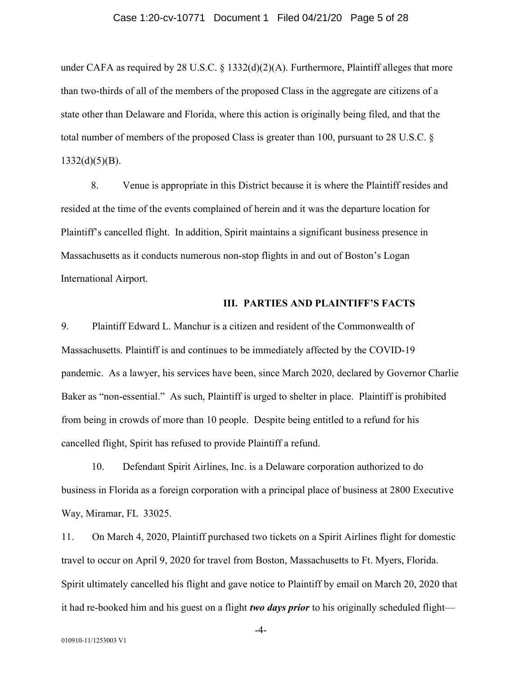#### Case 1:20-cv-10771 Document 1 Filed 04/21/20 Page 5 of 28

under CAFA as required by 28 U.S.C.  $\S$  1332(d)(2)(A). Furthermore, Plaintiff alleges that more than two-thirds of all of the members of the proposed Class in the aggregate are citizens of a state other than Delaware and Florida, where this action is originally being filed, and that the total number of members of the proposed Class is greater than 100, pursuant to 28 U.S.C. §  $1332(d)(5)(B)$ .

8. Venue is appropriate in this District because it is where the Plaintiff resides and resided at the time of the events complained of herein and it was the departure location for Plaintiff's cancelled flight. In addition, Spirit maintains a significant business presence in Massachusetts as it conducts numerous non-stop flights in and out of Boston's Logan International Airport.

#### **III. PARTIES AND PLAINTIFF'S FACTS**

9. Plaintiff Edward L. Manchur is a citizen and resident of the Commonwealth of Massachusetts. Plaintiff is and continues to be immediately affected by the COVID-19 pandemic. As a lawyer, his services have been, since March 2020, declared by Governor Charlie Baker as "non-essential." As such, Plaintiff is urged to shelter in place. Plaintiff is prohibited from being in crowds of more than 10 people. Despite being entitled to a refund for his cancelled flight, Spirit has refused to provide Plaintiff a refund.

10. Defendant Spirit Airlines, Inc. is a Delaware corporation authorized to do business in Florida as a foreign corporation with a principal place of business at 2800 Executive Way, Miramar, FL 33025.

11. On March 4, 2020, Plaintiff purchased two tickets on a Spirit Airlines flight for domestic travel to occur on April 9, 2020 for travel from Boston, Massachusetts to Ft. Myers, Florida. Spirit ultimately cancelled his flight and gave notice to Plaintiff by email on March 20, 2020 that it had re-booked him and his guest on a flight *two days prior* to his originally scheduled flight—

-4-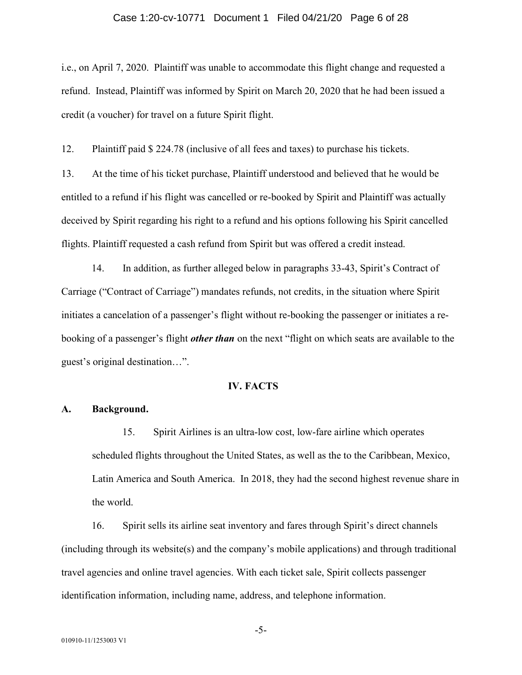#### Case 1:20-cv-10771 Document 1 Filed 04/21/20 Page 6 of 28

i.e., on April 7, 2020. Plaintiff was unable to accommodate this flight change and requested a refund. Instead, Plaintiff was informed by Spirit on March 20, 2020 that he had been issued a credit (a voucher) for travel on a future Spirit flight.

12. Plaintiff paid \$ 224.78 (inclusive of all fees and taxes) to purchase his tickets.

13. At the time of his ticket purchase, Plaintiff understood and believed that he would be entitled to a refund if his flight was cancelled or re-booked by Spirit and Plaintiff was actually deceived by Spirit regarding his right to a refund and his options following his Spirit cancelled flights. Plaintiff requested a cash refund from Spirit but was offered a credit instead.

14. In addition, as further alleged below in paragraphs 33-43, Spirit's Contract of Carriage ("Contract of Carriage") mandates refunds, not credits, in the situation where Spirit initiates a cancelation of a passenger's flight without re-booking the passenger or initiates a rebooking of a passenger's flight *other than* on the next "flight on which seats are available to the guest's original destination…".

# **IV. FACTS**

#### **A. Background.**

15. Spirit Airlines is an ultra-low cost, low-fare airline which operates scheduled flights throughout the United States, as well as the to the Caribbean, Mexico, Latin America and South America. In 2018, they had the second highest revenue share in the world.

16. Spirit sells its airline seat inventory and fares through Spirit's direct channels (including through its website(s) and the company's mobile applications) and through traditional travel agencies and online travel agencies. With each ticket sale, Spirit collects passenger identification information, including name, address, and telephone information.

-5-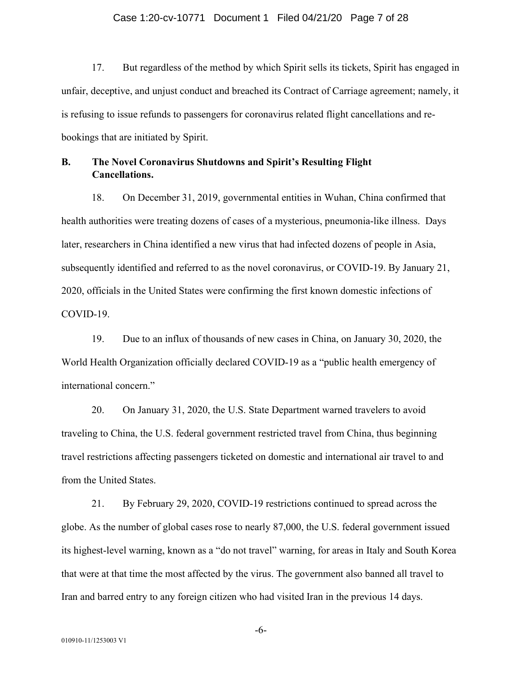#### Case 1:20-cv-10771 Document 1 Filed 04/21/20 Page 7 of 28

17. But regardless of the method by which Spirit sells its tickets, Spirit has engaged in unfair, deceptive, and unjust conduct and breached its Contract of Carriage agreement; namely, it is refusing to issue refunds to passengers for coronavirus related flight cancellations and rebookings that are initiated by Spirit.

# **B. The Novel Coronavirus Shutdowns and Spirit's Resulting Flight Cancellations.**

18. On December 31, 2019, governmental entities in Wuhan, China confirmed that health authorities were treating dozens of cases of a mysterious, pneumonia-like illness. Days later, researchers in China identified a new virus that had infected dozens of people in Asia, subsequently identified and referred to as the novel coronavirus, or COVID-19. By January 21, 2020, officials in the United States were confirming the first known domestic infections of COVID-19.

19. Due to an influx of thousands of new cases in China, on January 30, 2020, the World Health Organization officially declared COVID-19 as a "public health emergency of international concern."

20. On January 31, 2020, the U.S. State Department warned travelers to avoid traveling to China, the U.S. federal government restricted travel from China, thus beginning travel restrictions affecting passengers ticketed on domestic and international air travel to and from the United States.

21. By February 29, 2020, COVID-19 restrictions continued to spread across the globe. As the number of global cases rose to nearly 87,000, the U.S. federal government issued its highest-level warning, known as a "do not travel" warning, for areas in Italy and South Korea that were at that time the most affected by the virus. The government also banned all travel to Iran and barred entry to any foreign citizen who had visited Iran in the previous 14 days.

-6-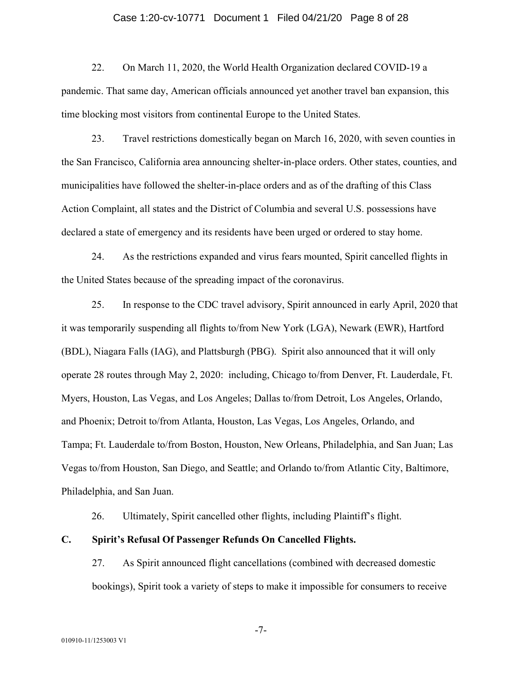#### Case 1:20-cv-10771 Document 1 Filed 04/21/20 Page 8 of 28

22. On March 11, 2020, the World Health Organization declared COVID-19 a pandemic. That same day, American officials announced yet another travel ban expansion, this time blocking most visitors from continental Europe to the United States.

23. Travel restrictions domestically began on March 16, 2020, with seven counties in the San Francisco, California area announcing shelter-in-place orders. Other states, counties, and municipalities have followed the shelter-in-place orders and as of the drafting of this Class Action Complaint, all states and the District of Columbia and several U.S. possessions have declared a state of emergency and its residents have been urged or ordered to stay home.

24. As the restrictions expanded and virus fears mounted, Spirit cancelled flights in the United States because of the spreading impact of the coronavirus.

25. In response to the CDC travel advisory, Spirit announced in early April, 2020 that it was temporarily suspending all flights to/from New York (LGA), Newark (EWR), Hartford (BDL), Niagara Falls (IAG), and Plattsburgh (PBG). Spirit also announced that it will only operate 28 routes through May 2, 2020: including, Chicago to/from Denver, Ft. Lauderdale, Ft. Myers, Houston, Las Vegas, and Los Angeles; Dallas to/from Detroit, Los Angeles, Orlando, and Phoenix; Detroit to/from Atlanta, Houston, Las Vegas, Los Angeles, Orlando, and Tampa; Ft. Lauderdale to/from Boston, Houston, New Orleans, Philadelphia, and San Juan; Las Vegas to/from Houston, San Diego, and Seattle; and Orlando to/from Atlantic City, Baltimore, Philadelphia, and San Juan.

26. Ultimately, Spirit cancelled other flights, including Plaintiff's flight.

# **C. Spirit's Refusal Of Passenger Refunds On Cancelled Flights.**

27. As Spirit announced flight cancellations (combined with decreased domestic bookings), Spirit took a variety of steps to make it impossible for consumers to receive

-7-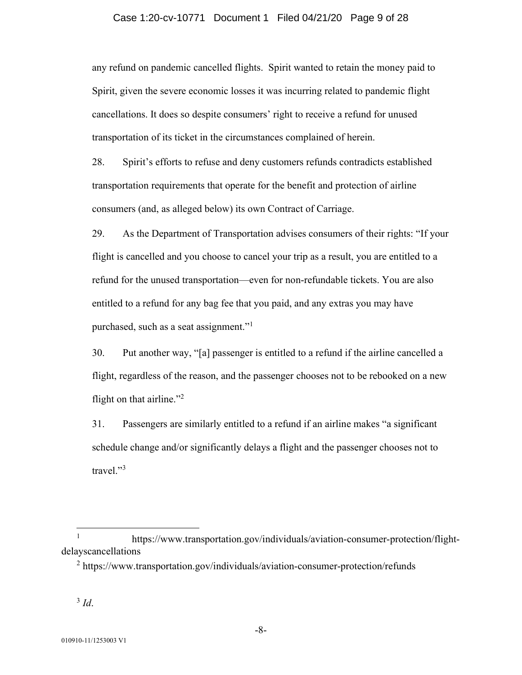#### Case 1:20-cv-10771 Document 1 Filed 04/21/20 Page 9 of 28

any refund on pandemic cancelled flights. Spirit wanted to retain the money paid to Spirit, given the severe economic losses it was incurring related to pandemic flight cancellations. It does so despite consumers' right to receive a refund for unused transportation of its ticket in the circumstances complained of herein.

28. Spirit's efforts to refuse and deny customers refunds contradicts established transportation requirements that operate for the benefit and protection of airline consumers (and, as alleged below) its own Contract of Carriage.

29. As the Department of Transportation advises consumers of their rights: "If your flight is cancelled and you choose to cancel your trip as a result, you are entitled to a refund for the unused transportation—even for non-refundable tickets. You are also entitled to a refund for any bag fee that you paid, and any extras you may have purchased, such as a seat assignment."<sup>1</sup>

30. Put another way, "[a] passenger is entitled to a refund if the airline cancelled a flight, regardless of the reason, and the passenger chooses not to be rebooked on a new flight on that airline."<sup>2</sup>

31. Passengers are similarly entitled to a refund if an airline makes "a significant schedule change and/or significantly delays a flight and the passenger chooses not to travel."<sup>3</sup>

<sup>1</sup> https://www.transportation.gov/individuals/aviation-consumer-protection/flightdelayscancellations

<sup>&</sup>lt;sup>2</sup> https://www.transportation.gov/individuals/aviation-consumer-protection/refunds

 $3$  *Id.*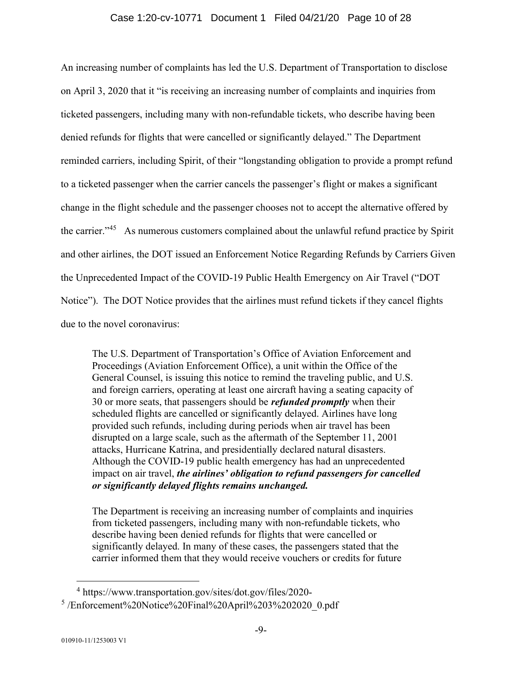# Case 1:20-cv-10771 Document 1 Filed 04/21/20 Page 10 of 28

An increasing number of complaints has led the U.S. Department of Transportation to disclose on April 3, 2020 that it "is receiving an increasing number of complaints and inquiries from ticketed passengers, including many with non-refundable tickets, who describe having been denied refunds for flights that were cancelled or significantly delayed." The Department reminded carriers, including Spirit, of their "longstanding obligation to provide a prompt refund to a ticketed passenger when the carrier cancels the passenger's flight or makes a significant change in the flight schedule and the passenger chooses not to accept the alternative offered by the carrier."<sup>45</sup> As numerous customers complained about the unlawful refund practice by Spirit and other airlines, the DOT issued an Enforcement Notice Regarding Refunds by Carriers Given the Unprecedented Impact of the COVID-19 Public Health Emergency on Air Travel ("DOT Notice"). The DOT Notice provides that the airlines must refund tickets if they cancel flights due to the novel coronavirus:

The U.S. Department of Transportation's Office of Aviation Enforcement and Proceedings (Aviation Enforcement Office), a unit within the Office of the General Counsel, is issuing this notice to remind the traveling public, and U.S. and foreign carriers, operating at least one aircraft having a seating capacity of 30 or more seats, that passengers should be *refunded promptly* when their scheduled flights are cancelled or significantly delayed. Airlines have long provided such refunds, including during periods when air travel has been disrupted on a large scale, such as the aftermath of the September 11, 2001 attacks, Hurricane Katrina, and presidentially declared natural disasters. Although the COVID-19 public health emergency has had an unprecedented impact on air travel, *the airlines' obligation to refund passengers for cancelled or significantly delayed flights remains unchanged.* 

The Department is receiving an increasing number of complaints and inquiries from ticketed passengers, including many with non-refundable tickets, who describe having been denied refunds for flights that were cancelled or significantly delayed. In many of these cases, the passengers stated that the carrier informed them that they would receive vouchers or credits for future

<sup>4</sup> https://www.transportation.gov/sites/dot.gov/files/2020- <sup>5</sup>/Enforcement%20Notice%20Final%20April%203%202020\_0.pdf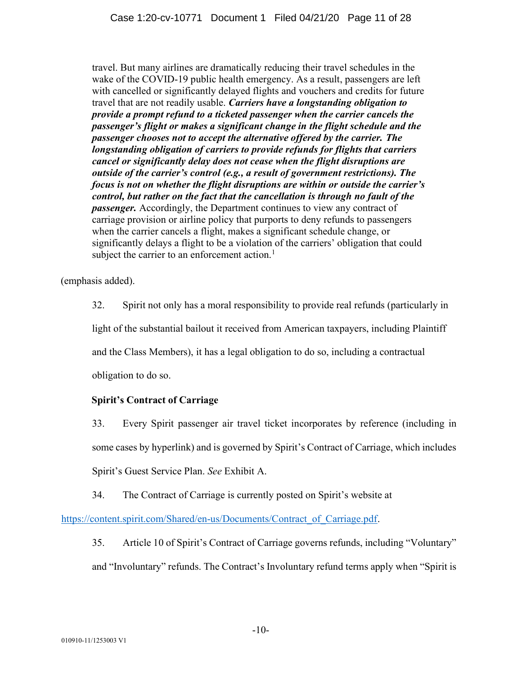travel. But many airlines are dramatically reducing their travel schedules in the wake of the COVID-19 public health emergency. As a result, passengers are left with cancelled or significantly delayed flights and vouchers and credits for future travel that are not readily usable. *Carriers have a longstanding obligation to provide a prompt refund to a ticketed passenger when the carrier cancels the passenger's flight or makes a significant change in the flight schedule and the passenger chooses not to accept the alternative offered by the carrier. The longstanding obligation of carriers to provide refunds for flights that carriers cancel or significantly delay does not cease when the flight disruptions are outside of the carrier's control (e.g., a result of government restrictions). The focus is not on whether the flight disruptions are within or outside the carrier's control, but rather on the fact that the cancellation is through no fault of the passenger.* Accordingly, the Department continues to view any contract of carriage provision or airline policy that purports to deny refunds to passengers when the carrier cancels a flight, makes a significant schedule change, or significantly delays a flight to be a violation of the carriers' obligation that could subject the carrier to an enforcement action. $<sup>1</sup>$ </sup>

(emphasis added).

32. Spirit not only has a moral responsibility to provide real refunds (particularly in light of the substantial bailout it received from American taxpayers, including Plaintiff and the Class Members), it has a legal obligation to do so, including a contractual obligation to do so.

# **Spirit's Contract of Carriage**

33. Every Spirit passenger air travel ticket incorporates by reference (including in some cases by hyperlink) and is governed by Spirit's Contract of Carriage, which includes Spirit's Guest Service Plan. *See* Exhibit A.

34. The Contract of Carriage is currently posted on Spirit's website at

https://content.spirit.com/Shared/en-us/Documents/Contract\_of\_Carriage.pdf.

35. Article 10 of Spirit's Contract of Carriage governs refunds, including "Voluntary" and "Involuntary" refunds. The Contract's Involuntary refund terms apply when "Spirit is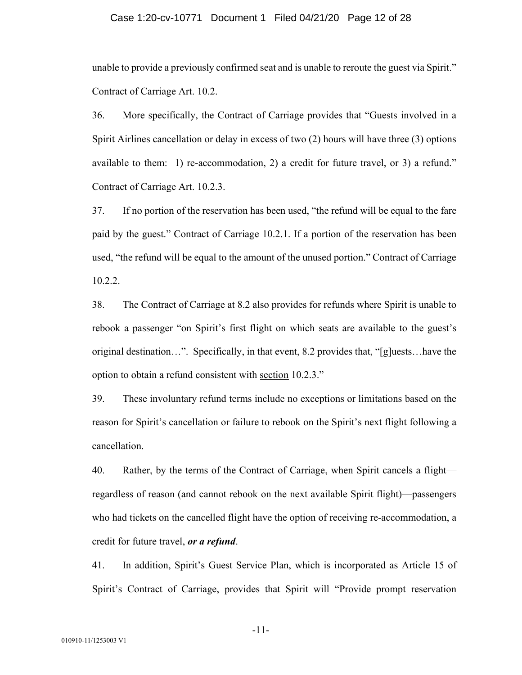#### Case 1:20-cv-10771 Document 1 Filed 04/21/20 Page 12 of 28

unable to provide a previously confirmed seat and is unable to reroute the guest via Spirit." Contract of Carriage Art. 10.2.

36. More specifically, the Contract of Carriage provides that "Guests involved in a Spirit Airlines cancellation or delay in excess of two (2) hours will have three (3) options available to them: 1) re-accommodation, 2) a credit for future travel, or 3) a refund." Contract of Carriage Art. 10.2.3.

37. If no portion of the reservation has been used, "the refund will be equal to the fare paid by the guest." Contract of Carriage 10.2.1. If a portion of the reservation has been used, "the refund will be equal to the amount of the unused portion." Contract of Carriage 10.2.2.

38. The Contract of Carriage at 8.2 also provides for refunds where Spirit is unable to rebook a passenger "on Spirit's first flight on which seats are available to the guest's original destination…". Specifically, in that event, 8.2 provides that, "[g]uests…have the option to obtain a refund consistent with section 10.2.3."

39. These involuntary refund terms include no exceptions or limitations based on the reason for Spirit's cancellation or failure to rebook on the Spirit's next flight following a cancellation.

40. Rather, by the terms of the Contract of Carriage, when Spirit cancels a flight regardless of reason (and cannot rebook on the next available Spirit flight)—passengers who had tickets on the cancelled flight have the option of receiving re-accommodation, a credit for future travel, *or a refund*.

41. In addition, Spirit's Guest Service Plan, which is incorporated as Article 15 of Spirit's Contract of Carriage, provides that Spirit will "Provide prompt reservation

-11-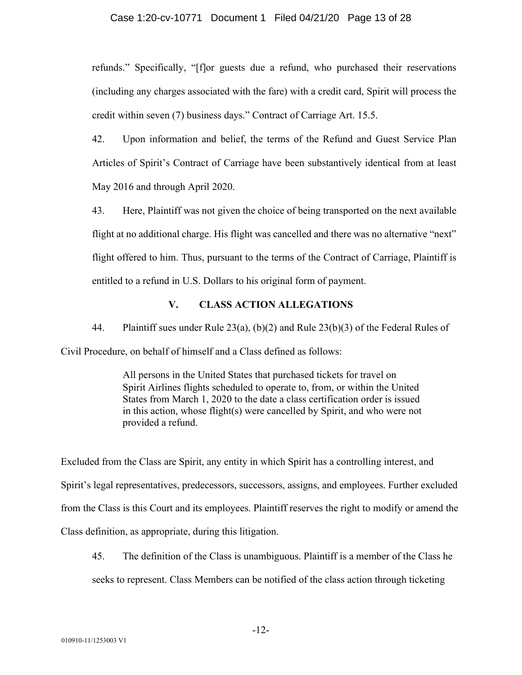#### Case 1:20-cv-10771 Document 1 Filed 04/21/20 Page 13 of 28

refunds." Specifically, "[f]or guests due a refund, who purchased their reservations (including any charges associated with the fare) with a credit card, Spirit will process the credit within seven (7) business days." Contract of Carriage Art. 15.5.

42. Upon information and belief, the terms of the Refund and Guest Service Plan Articles of Spirit's Contract of Carriage have been substantively identical from at least May 2016 and through April 2020.

43. Here, Plaintiff was not given the choice of being transported on the next available flight at no additional charge. His flight was cancelled and there was no alternative "next" flight offered to him. Thus, pursuant to the terms of the Contract of Carriage, Plaintiff is entitled to a refund in U.S. Dollars to his original form of payment.

# **V. CLASS ACTION ALLEGATIONS**

44. Plaintiff sues under Rule 23(a), (b)(2) and Rule 23(b)(3) of the Federal Rules of Civil Procedure, on behalf of himself and a Class defined as follows:

> All persons in the United States that purchased tickets for travel on Spirit Airlines flights scheduled to operate to, from, or within the United States from March 1, 2020 to the date a class certification order is issued in this action, whose flight(s) were cancelled by Spirit, and who were not provided a refund.

Excluded from the Class are Spirit, any entity in which Spirit has a controlling interest, and Spirit's legal representatives, predecessors, successors, assigns, and employees. Further excluded from the Class is this Court and its employees. Plaintiff reserves the right to modify or amend the Class definition, as appropriate, during this litigation.

45. The definition of the Class is unambiguous. Plaintiff is a member of the Class he seeks to represent. Class Members can be notified of the class action through ticketing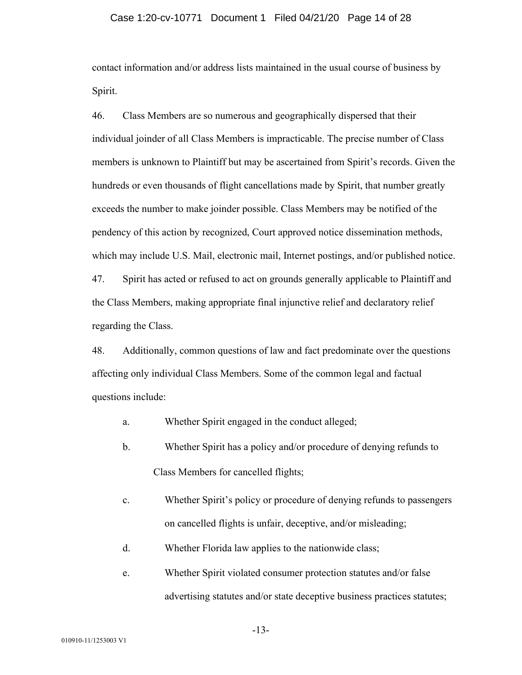#### Case 1:20-cv-10771 Document 1 Filed 04/21/20 Page 14 of 28

contact information and/or address lists maintained in the usual course of business by Spirit.

46. Class Members are so numerous and geographically dispersed that their individual joinder of all Class Members is impracticable. The precise number of Class members is unknown to Plaintiff but may be ascertained from Spirit's records. Given the hundreds or even thousands of flight cancellations made by Spirit, that number greatly exceeds the number to make joinder possible. Class Members may be notified of the pendency of this action by recognized, Court approved notice dissemination methods, which may include U.S. Mail, electronic mail, Internet postings, and/or published notice.

47. Spirit has acted or refused to act on grounds generally applicable to Plaintiff and the Class Members, making appropriate final injunctive relief and declaratory relief regarding the Class.

48. Additionally, common questions of law and fact predominate over the questions affecting only individual Class Members. Some of the common legal and factual questions include:

- a. Whether Spirit engaged in the conduct alleged;
- b. Whether Spirit has a policy and/or procedure of denying refunds to Class Members for cancelled flights;
- c. Whether Spirit's policy or procedure of denying refunds to passengers on cancelled flights is unfair, deceptive, and/or misleading;
- d. Whether Florida law applies to the nationwide class;

# e. Whether Spirit violated consumer protection statutes and/or false advertising statutes and/or state deceptive business practices statutes;

-13-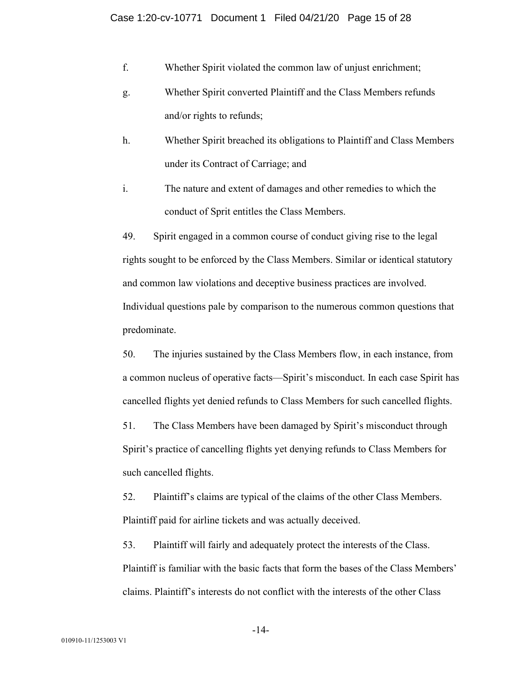- f. Whether Spirit violated the common law of unjust enrichment;
- g. Whether Spirit converted Plaintiff and the Class Members refunds and/or rights to refunds;
- h. Whether Spirit breached its obligations to Plaintiff and Class Members under its Contract of Carriage; and
- i. The nature and extent of damages and other remedies to which the conduct of Sprit entitles the Class Members.

49. Spirit engaged in a common course of conduct giving rise to the legal rights sought to be enforced by the Class Members. Similar or identical statutory and common law violations and deceptive business practices are involved. Individual questions pale by comparison to the numerous common questions that predominate.

50. The injuries sustained by the Class Members flow, in each instance, from a common nucleus of operative facts—Spirit's misconduct. In each case Spirit has cancelled flights yet denied refunds to Class Members for such cancelled flights.

51. The Class Members have been damaged by Spirit's misconduct through Spirit's practice of cancelling flights yet denying refunds to Class Members for such cancelled flights.

52. Plaintiff's claims are typical of the claims of the other Class Members. Plaintiff paid for airline tickets and was actually deceived.

53. Plaintiff will fairly and adequately protect the interests of the Class. Plaintiff is familiar with the basic facts that form the bases of the Class Members' claims. Plaintiff's interests do not conflict with the interests of the other Class

-14-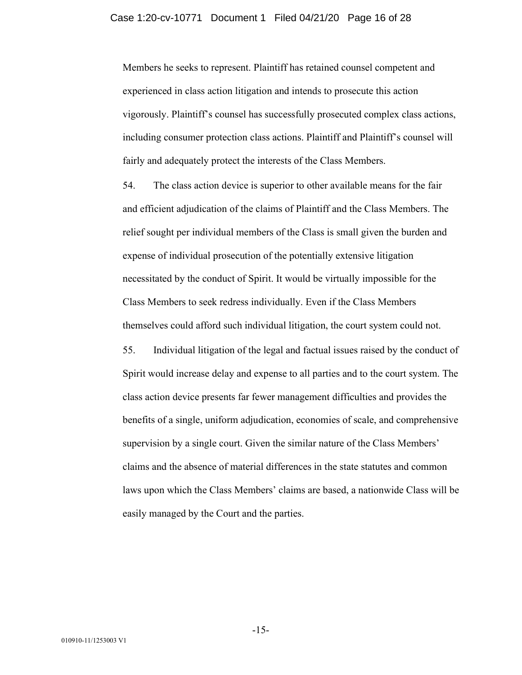Members he seeks to represent. Plaintiff has retained counsel competent and experienced in class action litigation and intends to prosecute this action vigorously. Plaintiff's counsel has successfully prosecuted complex class actions, including consumer protection class actions. Plaintiff and Plaintiff's counsel will fairly and adequately protect the interests of the Class Members.

54. The class action device is superior to other available means for the fair and efficient adjudication of the claims of Plaintiff and the Class Members. The relief sought per individual members of the Class is small given the burden and expense of individual prosecution of the potentially extensive litigation necessitated by the conduct of Spirit. It would be virtually impossible for the Class Members to seek redress individually. Even if the Class Members themselves could afford such individual litigation, the court system could not.

55. Individual litigation of the legal and factual issues raised by the conduct of Spirit would increase delay and expense to all parties and to the court system. The class action device presents far fewer management difficulties and provides the benefits of a single, uniform adjudication, economies of scale, and comprehensive supervision by a single court. Given the similar nature of the Class Members' claims and the absence of material differences in the state statutes and common laws upon which the Class Members' claims are based, a nationwide Class will be easily managed by the Court and the parties.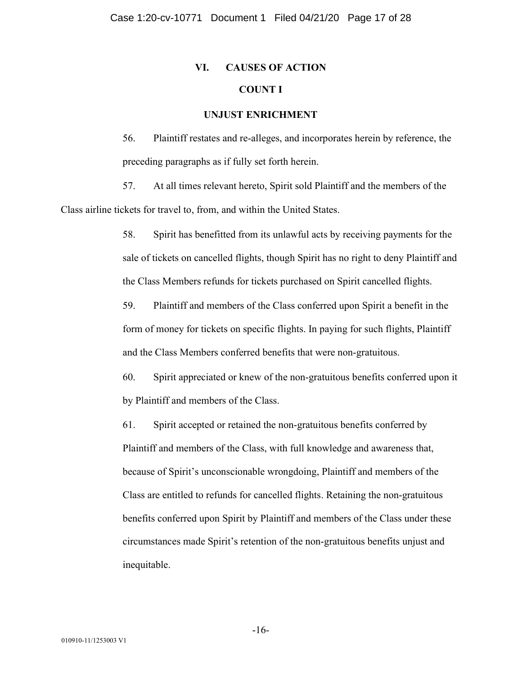# **VI. CAUSES OF ACTION COUNT I**

## **UNJUST ENRICHMENT**

56. Plaintiff restates and re-alleges, and incorporates herein by reference, the preceding paragraphs as if fully set forth herein.

57. At all times relevant hereto, Spirit sold Plaintiff and the members of the Class airline tickets for travel to, from, and within the United States.

> 58. Spirit has benefitted from its unlawful acts by receiving payments for the sale of tickets on cancelled flights, though Spirit has no right to deny Plaintiff and the Class Members refunds for tickets purchased on Spirit cancelled flights.

59. Plaintiff and members of the Class conferred upon Spirit a benefit in the form of money for tickets on specific flights. In paying for such flights, Plaintiff and the Class Members conferred benefits that were non-gratuitous.

60. Spirit appreciated or knew of the non-gratuitous benefits conferred upon it by Plaintiff and members of the Class.

61. Spirit accepted or retained the non-gratuitous benefits conferred by Plaintiff and members of the Class, with full knowledge and awareness that, because of Spirit's unconscionable wrongdoing, Plaintiff and members of the Class are entitled to refunds for cancelled flights. Retaining the non-gratuitous benefits conferred upon Spirit by Plaintiff and members of the Class under these circumstances made Spirit's retention of the non-gratuitous benefits unjust and inequitable.

-16-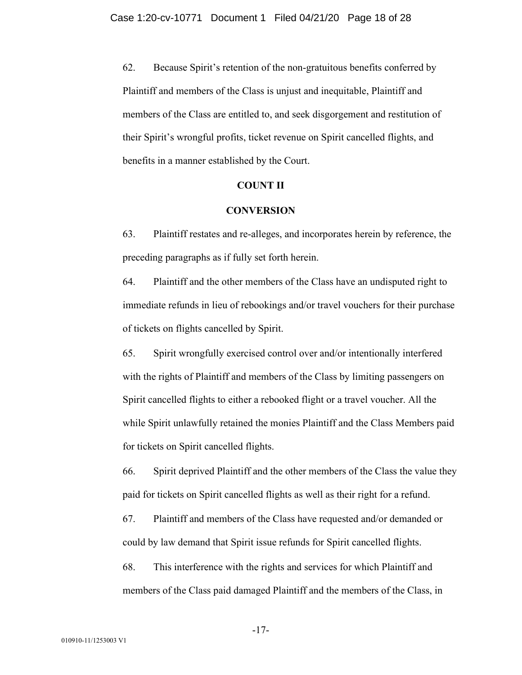62. Because Spirit's retention of the non-gratuitous benefits conferred by Plaintiff and members of the Class is unjust and inequitable, Plaintiff and members of the Class are entitled to, and seek disgorgement and restitution of their Spirit's wrongful profits, ticket revenue on Spirit cancelled flights, and benefits in a manner established by the Court.

# **COUNT II**

# **CONVERSION**

63. Plaintiff restates and re-alleges, and incorporates herein by reference, the preceding paragraphs as if fully set forth herein.

64. Plaintiff and the other members of the Class have an undisputed right to immediate refunds in lieu of rebookings and/or travel vouchers for their purchase of tickets on flights cancelled by Spirit.

65. Spirit wrongfully exercised control over and/or intentionally interfered with the rights of Plaintiff and members of the Class by limiting passengers on Spirit cancelled flights to either a rebooked flight or a travel voucher. All the while Spirit unlawfully retained the monies Plaintiff and the Class Members paid for tickets on Spirit cancelled flights.

66. Spirit deprived Plaintiff and the other members of the Class the value they paid for tickets on Spirit cancelled flights as well as their right for a refund.

67. Plaintiff and members of the Class have requested and/or demanded or could by law demand that Spirit issue refunds for Spirit cancelled flights.

68. This interference with the rights and services for which Plaintiff and members of the Class paid damaged Plaintiff and the members of the Class, in

-17-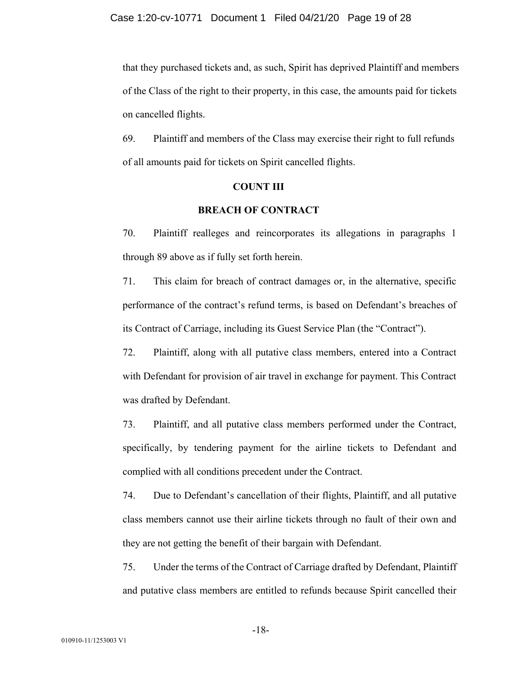that they purchased tickets and, as such, Spirit has deprived Plaintiff and members of the Class of the right to their property, in this case, the amounts paid for tickets on cancelled flights.

69. Plaintiff and members of the Class may exercise their right to full refunds of all amounts paid for tickets on Spirit cancelled flights.

#### **COUNT III**

# **BREACH OF CONTRACT**

70. Plaintiff realleges and reincorporates its allegations in paragraphs 1 through 89 above as if fully set forth herein.

71. This claim for breach of contract damages or, in the alternative, specific performance of the contract's refund terms, is based on Defendant's breaches of its Contract of Carriage, including its Guest Service Plan (the "Contract").

72. Plaintiff, along with all putative class members, entered into a Contract with Defendant for provision of air travel in exchange for payment. This Contract was drafted by Defendant.

73. Plaintiff, and all putative class members performed under the Contract, specifically, by tendering payment for the airline tickets to Defendant and complied with all conditions precedent under the Contract.

74. Due to Defendant's cancellation of their flights, Plaintiff, and all putative class members cannot use their airline tickets through no fault of their own and they are not getting the benefit of their bargain with Defendant.

75. Under the terms of the Contract of Carriage drafted by Defendant, Plaintiff and putative class members are entitled to refunds because Spirit cancelled their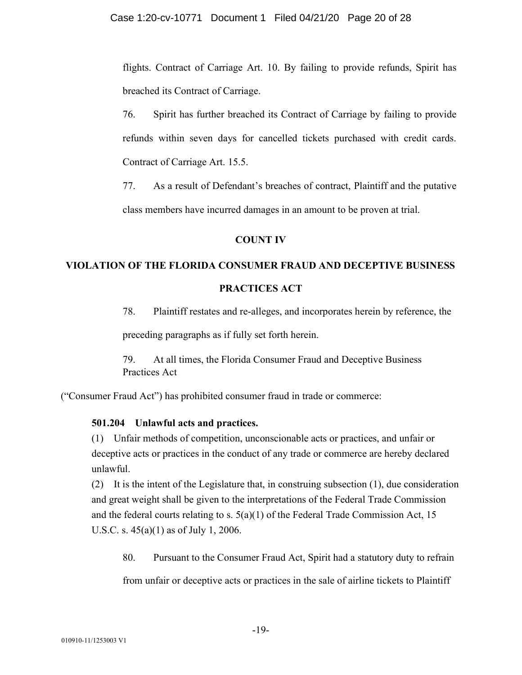flights. Contract of Carriage Art. 10. By failing to provide refunds, Spirit has breached its Contract of Carriage.

76. Spirit has further breached its Contract of Carriage by failing to provide refunds within seven days for cancelled tickets purchased with credit cards. Contract of Carriage Art. 15.5.

77. As a result of Defendant's breaches of contract, Plaintiff and the putative class members have incurred damages in an amount to be proven at trial.

# **COUNT IV**

# **VIOLATION OF THE FLORIDA CONSUMER FRAUD AND DECEPTIVE BUSINESS**

# **PRACTICES ACT**

78. Plaintiff restates and re-alleges, and incorporates herein by reference, the preceding paragraphs as if fully set forth herein.

79. At all times, the Florida Consumer Fraud and Deceptive Business Practices Act

("Consumer Fraud Act") has prohibited consumer fraud in trade or commerce:

# **501.204 Unlawful acts and practices.**

(1) Unfair methods of competition, unconscionable acts or practices, and unfair or deceptive acts or practices in the conduct of any trade or commerce are hereby declared unlawful.

(2) It is the intent of the Legislature that, in construing subsection (1), due consideration and great weight shall be given to the interpretations of the Federal Trade Commission and the federal courts relating to s.  $5(a)(1)$  of the Federal Trade Commission Act, 15 U.S.C. s. 45(a)(1) as of July 1, 2006.

80. Pursuant to the Consumer Fraud Act, Spirit had a statutory duty to refrain

from unfair or deceptive acts or practices in the sale of airline tickets to Plaintiff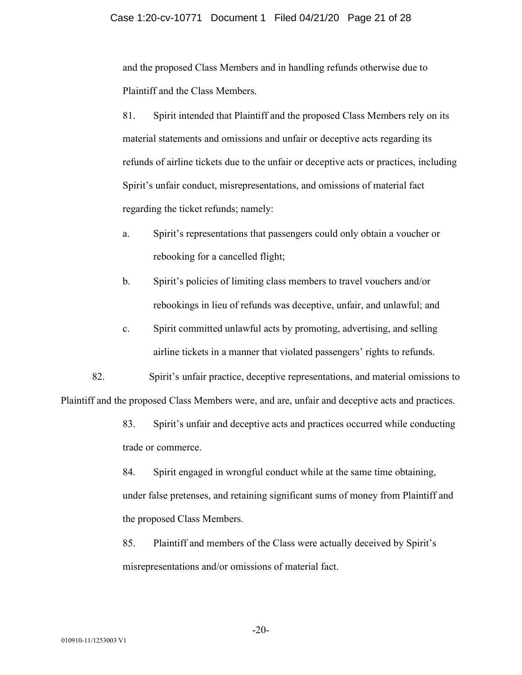and the proposed Class Members and in handling refunds otherwise due to Plaintiff and the Class Members.

81. Spirit intended that Plaintiff and the proposed Class Members rely on its material statements and omissions and unfair or deceptive acts regarding its refunds of airline tickets due to the unfair or deceptive acts or practices, including Spirit's unfair conduct, misrepresentations, and omissions of material fact regarding the ticket refunds; namely:

- a. Spirit's representations that passengers could only obtain a voucher or rebooking for a cancelled flight;
- b. Spirit's policies of limiting class members to travel vouchers and/or rebookings in lieu of refunds was deceptive, unfair, and unlawful; and
- c. Spirit committed unlawful acts by promoting, advertising, and selling airline tickets in a manner that violated passengers' rights to refunds.

82. Spirit's unfair practice, deceptive representations, and material omissions to Plaintiff and the proposed Class Members were, and are, unfair and deceptive acts and practices.

> 83. Spirit's unfair and deceptive acts and practices occurred while conducting trade or commerce.

> 84. Spirit engaged in wrongful conduct while at the same time obtaining, under false pretenses, and retaining significant sums of money from Plaintiff and the proposed Class Members.

85. Plaintiff and members of the Class were actually deceived by Spirit's misrepresentations and/or omissions of material fact.

-20-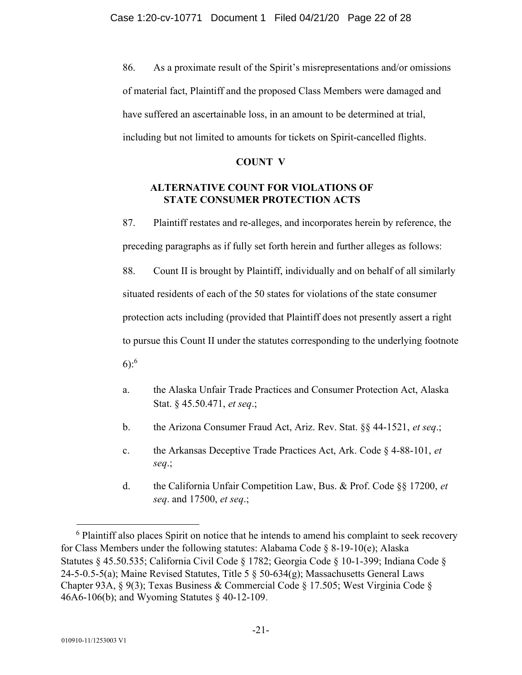86. As a proximate result of the Spirit's misrepresentations and/or omissions of material fact, Plaintiff and the proposed Class Members were damaged and have suffered an ascertainable loss, in an amount to be determined at trial, including but not limited to amounts for tickets on Spirit-cancelled flights.

# **COUNT V**

# **ALTERNATIVE COUNT FOR VIOLATIONS OF STATE CONSUMER PROTECTION ACTS**

87. Plaintiff restates and re-alleges, and incorporates herein by reference, the preceding paragraphs as if fully set forth herein and further alleges as follows:

88. Count II is brought by Plaintiff, individually and on behalf of all similarly situated residents of each of the 50 states for violations of the state consumer protection acts including (provided that Plaintiff does not presently assert a right to pursue this Count II under the statutes corresponding to the underlying footnote 6): $6$ 

- a. the Alaska Unfair Trade Practices and Consumer Protection Act, Alaska Stat. § 45.50.471, *et seq*.;
- b. the Arizona Consumer Fraud Act, Ariz. Rev. Stat. §§ 44-1521, *et seq*.;
- c. the Arkansas Deceptive Trade Practices Act, Ark. Code § 4-88-101, *et seq*.;
- d. the California Unfair Competition Law, Bus. & Prof. Code §§ 17200, *et seq*. and 17500, *et seq*.;

<sup>&</sup>lt;sup>6</sup> Plaintiff also places Spirit on notice that he intends to amend his complaint to seek recovery for Class Members under the following statutes: Alabama Code § 8-19-10(e); Alaska Statutes § 45.50.535; California Civil Code § 1782; Georgia Code § 10-1-399; Indiana Code § 24-5-0.5-5(a); Maine Revised Statutes, Title 5 § 50-634(g); Massachusetts General Laws Chapter 93A, § 9(3); Texas Business & Commercial Code § 17.505; West Virginia Code § 46A6-106(b); and Wyoming Statutes § 40-12-109.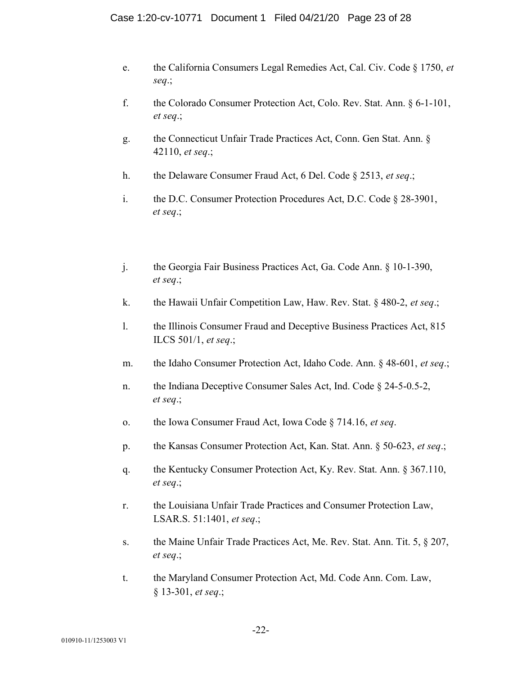- e. the California Consumers Legal Remedies Act, Cal. Civ. Code § 1750, *et seq*.;
- f. the Colorado Consumer Protection Act, Colo. Rev. Stat. Ann. § 6-1-101, *et seq*.;
- g. the Connecticut Unfair Trade Practices Act, Conn. Gen Stat. Ann. § 42110, *et seq*.;
- h. the Delaware Consumer Fraud Act, 6 Del. Code § 2513, *et seq*.;
- i. the D.C. Consumer Protection Procedures Act, D.C. Code § 28-3901, *et seq*.;
- j. the Georgia Fair Business Practices Act, Ga. Code Ann. § 10-1-390, *et seq*.;
- k. the Hawaii Unfair Competition Law, Haw. Rev. Stat. § 480-2, *et seq*.;
- l. the Illinois Consumer Fraud and Deceptive Business Practices Act, 815 ILCS 501/1, *et seq*.;
- m. the Idaho Consumer Protection Act, Idaho Code. Ann. § 48-601, *et seq*.;
- n. the Indiana Deceptive Consumer Sales Act, Ind. Code § 24-5-0.5-2, *et seq*.;
- o. the Iowa Consumer Fraud Act, Iowa Code § 714.16, *et seq*.
- p. the Kansas Consumer Protection Act, Kan. Stat. Ann. § 50-623, *et seq*.;
- q. the Kentucky Consumer Protection Act, Ky. Rev. Stat. Ann. § 367.110, *et seq*.;
- r. the Louisiana Unfair Trade Practices and Consumer Protection Law, LSAR.S. 51:1401, *et seq*.;
- s. the Maine Unfair Trade Practices Act, Me. Rev. Stat. Ann. Tit. 5, § 207, *et seq*.;
- t. the Maryland Consumer Protection Act, Md. Code Ann. Com. Law, § 13-301, *et seq*.;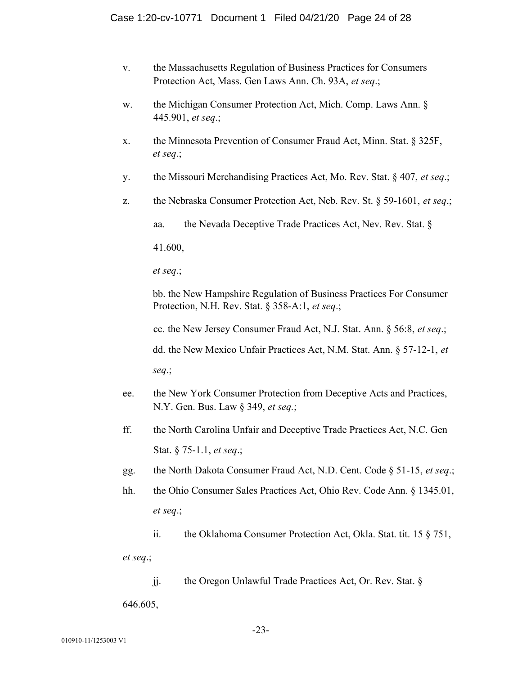- v. the Massachusetts Regulation of Business Practices for Consumers Protection Act, Mass. Gen Laws Ann. Ch. 93A, *et seq*.;
- w. the Michigan Consumer Protection Act, Mich. Comp. Laws Ann. § 445.901, *et seq*.;
- x. the Minnesota Prevention of Consumer Fraud Act, Minn. Stat. § 325F, *et seq*.;
- y. the Missouri Merchandising Practices Act, Mo. Rev. Stat. § 407, *et seq*.;
- z. the Nebraska Consumer Protection Act, Neb. Rev. St. § 59-1601, *et seq*.;

aa. the Nevada Deceptive Trade Practices Act, Nev. Rev. Stat. §

41.600,

*et seq*.;

bb. the New Hampshire Regulation of Business Practices For Consumer Protection, N.H. Rev. Stat. § 358-A:1, *et seq*.;

cc. the New Jersey Consumer Fraud Act, N.J. Stat. Ann. § 56:8, *et seq*.;

dd. the New Mexico Unfair Practices Act, N.M. Stat. Ann. § 57-12-1, *et seq*.;

- ee. the New York Consumer Protection from Deceptive Acts and Practices, N.Y. Gen. Bus. Law § 349, *et seq.*;
- ff. the North Carolina Unfair and Deceptive Trade Practices Act, N.C. Gen Stat. § 75-1.1, *et seq*.;
- gg. the North Dakota Consumer Fraud Act, N.D. Cent. Code § 51-15, *et seq*.;
- hh. the Ohio Consumer Sales Practices Act, Ohio Rev. Code Ann. § 1345.01, *et seq*.;
	- ii. the Oklahoma Consumer Protection Act, Okla. Stat. tit. 15 § 751,

*et seq*.;

jj. the Oregon Unlawful Trade Practices Act, Or. Rev. Stat. §

646.605,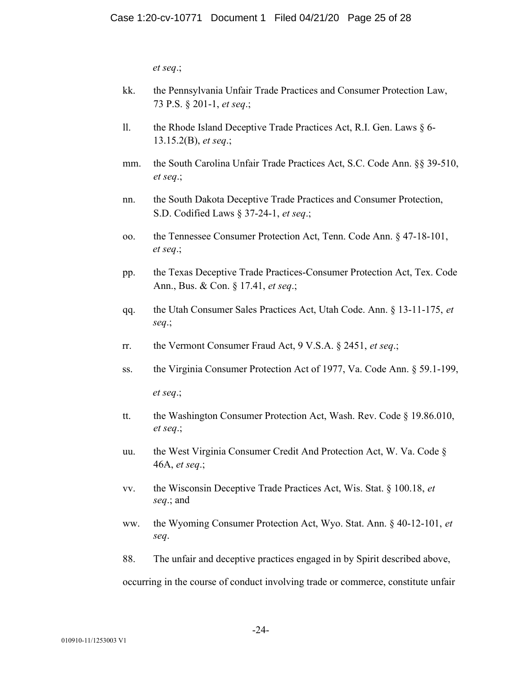*et seq*.;

- kk. the Pennsylvania Unfair Trade Practices and Consumer Protection Law, 73 P.S. § 201-1, *et seq*.;
- ll. the Rhode Island Deceptive Trade Practices Act, R.I. Gen. Laws § 6- 13.15.2(B), *et seq*.;
- mm. the South Carolina Unfair Trade Practices Act, S.C. Code Ann. §§ 39-510, *et seq*.;
- nn. the South Dakota Deceptive Trade Practices and Consumer Protection, S.D. Codified Laws § 37-24-1, *et seq*.;
- oo. the Tennessee Consumer Protection Act, Tenn. Code Ann. § 47-18-101, *et seq*.;
- pp. the Texas Deceptive Trade Practices-Consumer Protection Act, Tex. Code Ann., Bus. & Con. § 17.41, *et seq*.;
- qq. the Utah Consumer Sales Practices Act, Utah Code. Ann. § 13-11-175, *et seq*.;
- rr. the Vermont Consumer Fraud Act, 9 V.S.A. § 2451, *et seq*.;
- ss. the Virginia Consumer Protection Act of 1977, Va. Code Ann. § 59.1-199, *et seq*.;
- tt. the Washington Consumer Protection Act, Wash. Rev. Code § 19.86.010, *et seq*.;
- uu. the West Virginia Consumer Credit And Protection Act, W. Va. Code § 46A, *et seq*.;
- vv. the Wisconsin Deceptive Trade Practices Act, Wis. Stat. § 100.18, *et seq*.; and
- ww. the Wyoming Consumer Protection Act, Wyo. Stat. Ann. § 40-12-101, *et seq*.
- 88. The unfair and deceptive practices engaged in by Spirit described above,

occurring in the course of conduct involving trade or commerce, constitute unfair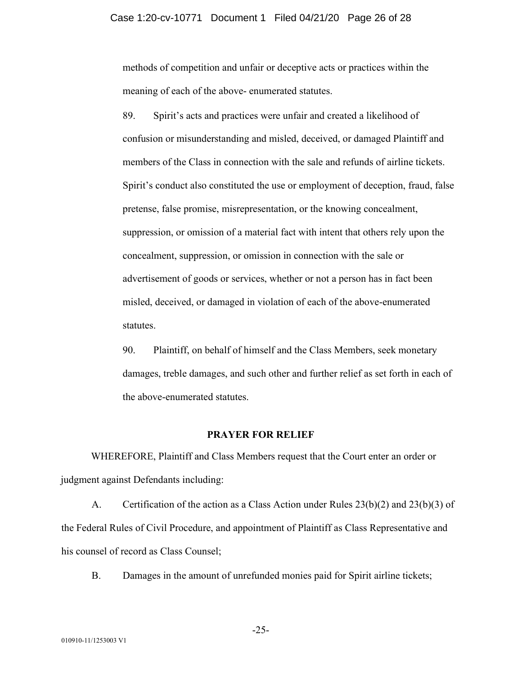methods of competition and unfair or deceptive acts or practices within the meaning of each of the above- enumerated statutes.

89. Spirit's acts and practices were unfair and created a likelihood of confusion or misunderstanding and misled, deceived, or damaged Plaintiff and members of the Class in connection with the sale and refunds of airline tickets. Spirit's conduct also constituted the use or employment of deception, fraud, false pretense, false promise, misrepresentation, or the knowing concealment, suppression, or omission of a material fact with intent that others rely upon the concealment, suppression, or omission in connection with the sale or advertisement of goods or services, whether or not a person has in fact been misled, deceived, or damaged in violation of each of the above-enumerated statutes.

90. Plaintiff, on behalf of himself and the Class Members, seek monetary damages, treble damages, and such other and further relief as set forth in each of the above-enumerated statutes.

## **PRAYER FOR RELIEF**

WHEREFORE, Plaintiff and Class Members request that the Court enter an order or judgment against Defendants including:

A. Certification of the action as a Class Action under Rules 23(b)(2) and 23(b)(3) of the Federal Rules of Civil Procedure, and appointment of Plaintiff as Class Representative and his counsel of record as Class Counsel;

B. Damages in the amount of unrefunded monies paid for Spirit airline tickets;

-25-